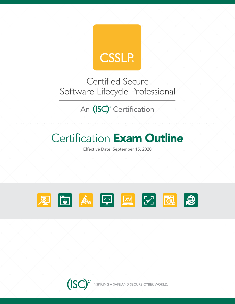

**Certified Secure** Software Lifecycle Professional

An (ISC)<sup>2</sup> Certification

# **Certification Exam Outline**

Effective Date: September 15, 2020



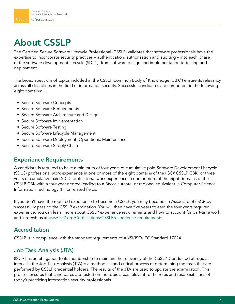## About CSSLP

The Certified Secure Software Lifecycle Professional (CSSLP) validates that software professionals have the expertise to incorporate security practices – authentication, authorization and auditing – into each phase of the software development lifecycle (SDLC), from software design and implementation to testing and deployment.

The broad spectrum of topics included in the CSSLP Common Body of Knowledge (CBK®) ensure its relevancy across all disciplines in the field of information security. Successful candidates are competent in the following eight domains:

- Secure Software Concepts
- Secure Software Requirements
- Secure Software Architecture and Design
- Secure Software Implementation
- Secure Software Testing
- Secure Software Lifecycle Management
- Secure Software Deployment, Operations, Maintenance
- Secure Software Supply Chain

### Experience Requirements

A candidate is required to have a minimum of four years of cumulative paid Software Development Lifecycle (SDLC) professional work experience in one or more of the eight domains of the (ISC)<sup>2</sup>CSSLP CBK, or three years of cumulative paid SDLC professional work experience in one or more of the eight domains of the CSSLP CBK with a four-year degree leading to a Baccalaureate, or regional equivalent in Computer Science, Information Technology (IT) or related fields.

If you don't have the required experience to become a CSSLP, you may become an Associate of (ISC)² by successfully passing the CSSLP examination. You will then have five years to earn the four years required experience. You can learn more about CSSLP experience requirements and how to account for part-time work and internships at [www.isc2.org/Certifications/CSSLP/experience-requirements](http://www.isc2.org/cap-cbk-references).

### Accreditation

CSSLP is in compliance with the stringent requirements of ANSI/ISO/IEC Standard 17024.

### Job Task Analysis (JTA)

(ISC)² has an obligation to its membership to maintain the relevancy of the CSSLP. Conducted at regular intervals, the Job Task Analysis (JTA) is a methodical and critical process of determining the tasks that are performed by CSSLP credential holders. The results of the JTA are used to update the examination. This process ensures that candidates are tested on the topic areas relevant to the roles and responsibilities of today's practicing information security professionals.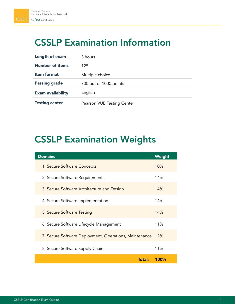## CSSLP Examination Information

| Length of exam           | 3 hours                    |
|--------------------------|----------------------------|
| <b>Number of items</b>   | 125                        |
| <b>Item format</b>       | Multiple choice            |
| <b>Passing grade</b>     | 700 out of 1000 points     |
| <b>Exam availability</b> | English                    |
| <b>Testing center</b>    | Pearson VUE Testing Center |

## CSSLP Examination Weights

| <b>Domains</b>                                             | Weight |
|------------------------------------------------------------|--------|
| 1. Secure Software Concepts                                | 10%    |
| 2. Secure Software Requirements                            | 14%    |
| 3. Secure Software Architecture and Design                 | 14%    |
| 4. Secure Software Implementation                          | 14%    |
| 5. Secure Software Testing                                 | 14%    |
| 6. Secure Software Lifecycle Management                    | 11%    |
| 7. Secure Software Deployment, Operations, Maintenance 12% |        |
| 8. Secure Software Supply Chain                            | 11%    |
| <b>Total:</b>                                              | 100%   |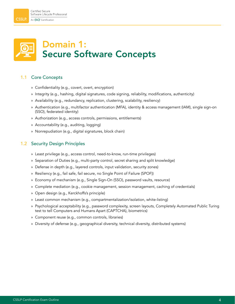### Domain 1: Secure Software Concepts

#### 1.1 Core Concepts

- » Confidentiality (e.g., covert, overt, encryption)
- » Integrity (e.g., hashing, digital signatures, code signing, reliability, modifications, authenticity)
- » Availability (e.g., redundancy, replication, clustering, scalability, resiliency)
- » Authentication (e.g., multifactor authentication (MFA), identity & access management (IAM), single sign-on (SSO), federated identity)
- » Authorization (e.g., access controls, permissions, entitlements)
- » Accountability (e.g., auditing, logging)
- » Nonrepudiation (e.g., digital signatures, block chain)

#### 1.2 Security Design Principles

- » Least privilege (e.g., access control, need-to-know, run-time privileges)
- » Separation of Duties (e.g., multi-party control, secret sharing and split knowledge)
- » Defense in depth (e.g., layered controls, input validation, security zones)
- » Resiliency (e.g., fail safe, fail secure, no Single Point of Failure (SPOF))
- » Economy of mechanism (e.g., Single Sign-On (SSO), password vaults, resource)
- » Complete mediation (e.g., cookie management, session management, caching of credentials)
- » Open design (e.g., Kerckhoffs's principle)
- » Least common mechanism (e.g., compartmentalization/isolation, white-listing)
- » Psychological acceptability (e.g., password complexity, screen layouts, Completely Automated Public Turing test to tell Computers and Humans Apart (CAPTCHA), biometrics)
- » Component reuse (e.g., common controls, libraries)
- » Diversity of defense (e.g., geographical diversity, technical diversity, distributed systems)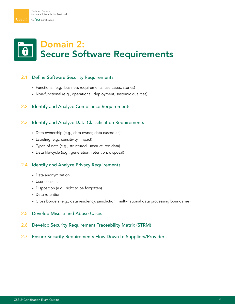## Domain 2: Secure Software Requirements

#### 2.1 Define Software Security Requirements

- » Functional (e.g., business requirements, use cases, stories)
- » Non-functional (e.g., operational, deployment, systemic qualities)

#### 2.2 Identify and Analyze Compliance Requirements

#### 2.3 Identify and Analyze Data Classification Requirements

- » Data ownership (e.g., data owner, data custodian)
- » Labeling (e.g., sensitivity, impact)
- » Types of data (e.g., structured, unstructured data)
- » Data life-cycle (e.g., generation, retention, disposal)

#### 2.4 Identify and Analyze Privacy Requirements

- » Data anonymization
- » User consent
- » Disposition (e.g., right to be forgotten)
- » Data retention
- » Cross borders (e.g., data residency, jurisdiction, multi-national data processing boundaries)
- 2.5 Develop Misuse and Abuse Cases
- 2.6 Develop Security Requirement Traceability Matrix (STRM)
- 2.7 Ensure Security Requirements Flow Down to Suppliers/Providers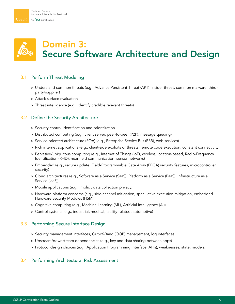## Domain 3: Secure Software Architecture and Design

#### 3.1 Perform Threat Modeling

- » Understand common threats (e.g., Advance Persistent Threat (APT), insider threat, common malware, thirdparty/supplier)
- » Attack surface evaluation
- » Threat intelligence (e.g., Identify credible relevant threats)

#### 3.2 Define the Security Architecture

- » Security control identification and prioritization
- » Distributed computing (e.g., client server, peer-to-peer (P2P), message queuing)
- » Service-oriented architecture (SOA) (e.g., Enterprise Service Bus (ESB), web services)
- » Rich internet applications (e.g., client-side exploits or threats, remote code execution, constant connectivity)
- » Pervasive/ubiquitous computing (e.g., Internet of Things (IoT), wireless, location-based, Radio-Frequency Identification (RFID), near field communication, sensor networks)
- » Embedded (e.g., secure update, Field-Programmable Gate Array (FPGA) security features, microcontroller security)
- » Cloud architectures (e.g., Software as a Service (SaaS), Platform as a Service (PaaS), Infrastructure as a Service (IaaS))
- » Mobile applications (e.g., implicit data collection privacy)
- » Hardware platform concerns (e.g., side-channel mitigation, speculative execution mitigation, embedded Hardware Security Modules (HSM))
- » Cognitive computing (e.g., Machine Learning (ML), Artificial Intelligence (AI))
- » Control systems (e.g., industrial, medical, facility-related, automotive)

#### 3.3 Performing Secure Interface Design

- » Security management interfaces, Out-of-Band (OOB) management, log interfaces
- » Upstream/downstream dependencies (e.g., key and data sharing between apps)
- » Protocol design choices (e.g., Application Programming Interface (APIs), weaknesses, state, models)

#### 3.4 Performing Architectural Risk Assessment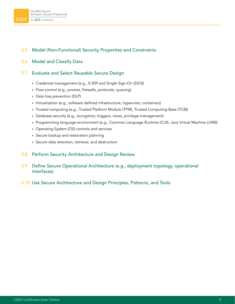#### 3.5 Model (Non-Functional) Security Properties and Constraints

#### 3.6 Model and Classify Data

#### 3.7 Evaluate and Select Reusable Secure Design

- » Credential management (e.g., X.509 and Single Sign-On (SSO))
- » Flow control (e.g., proxies, firewalls, protocols, queuing)
- » Data loss prevention (DLP)
- » Virtualization (e.g., software defined infrastructure, hypervisor, containers)
- » Trusted computing (e.g., Trusted Platform Module (TPM), Trusted Computing Base (TCB))
- » Database security (e.g., encryption, triggers, views, privilege management)
- » Programming language environment (e.g., Common Language Runtime (CLR), Java Virtual Machine (JVM))
- » Operating System (OS) controls and services
- » Secure backup and restoration planning
- » Secure data retention, retrieval, and destruction

#### 3.8 Perform Security Architecture and Design Review

- 3.9 Define Secure Operational Architecture (e.g., deployment topology, operational interfaces)
- 3.10 Use Secure Architecture and Design Principles, Patterns, and Tools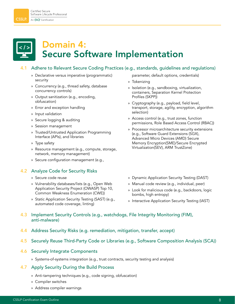### Domain 4: Secure Software Implementation

#### 4.1 Adhere to Relevant Secure Coding Practices (e.g., standards, guidelines and regulations)

- » Declarative versus imperative (programmatic) security
- » Concurrency (e.g., thread safety, database concurrency controls)
- » Output sanitization (e.g., encoding, obfuscation)
- » Error and exception handling
- » Input validation
- » Secure logging & auditing
- » Session management
- » Trusted/Untrusted Application Programming Interface (APIs), and libraries
- » Type safety
- » Resource management (e.g., compute, storage, network, memory management)
- » Secure configuration management (e.g.,

#### 4.2 Analyze Code for Security Risks

- » Secure code reuse
- » Vulnerability databases/lists (e.g., Open Web Application Security Project (OWASP) Top 10, Common Weakness Enumeration (CWE))
- » Static Application Security Testing (SAST) (e.g., automated code coverage, linting)
- parameter, default options, credentials)
- » Tokenizing
- » Isolation (e.g., sandboxing, virtualization, containers, Separation Kernel Protection Profiles (SKPP))
- » Cryptography (e.g., payload, field level, transport, storage, agility, encryption, algorithm selection)
- » Access control (e.g., trust zones, function permissions, Role Based Access Control (RBAC))
- » Processor microarchitecture security extensions (e.g., Software Guard Extensions (SGX), Advanced Micro Devices (AMD) Secure Memory Encryption(SME)/Secure Encrypted Virtualization(SEV), ARM TrustZone)
- » Dynamic Application Security Testing (DAST)
- » Manual code review (e.g., individual, peer)
- » Look for malicious code (e.g., backdoors, logic bombs, high entropy)
- » Interactive Application Security Testing (IAST)
- 4.3 Implement Security Controls (e.g., watchdogs, File Integrity Monitoring (FIM), anti-malware)
- 4.4 Address Security Risks (e.g. remediation, mitigation, transfer, accept)
- 4.5 Securely Reuse Third-Party Code or Libraries (e.g., Software Composition Analysis (SCA))

#### 4.6 Securely Integrate Components

» Systems-of-systems integration (e.g., trust contracts, security testing and analysis)

#### 4.7 Apply Security During the Build Process

- » Anti-tampering techniques (e.g., code signing, obfuscation)
- » Compiler switches
- » Address compiler warnings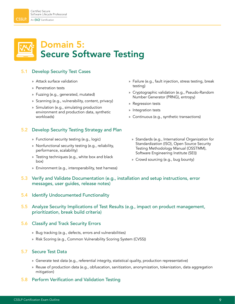### Domain 5: Secure Software Testing

#### 5.1 Develop Security Test Cases

- » Attack surface validation
- » Penetration tests
- » Fuzzing (e.g., generated, mutated)
- » Scanning (e.g., vulnerability, content, privacy)
- » Simulation (e.g., simulating production environment and production data, synthetic workloads)
- » Failure (e.g., fault injection, stress testing, break testing)
- » Cryptographic validation (e.g., Pseudo-Random Number Generator (PRNG), entropy)
- » Regression tests
- » Integration tests
- » Continuous (e.g., synthetic transactions)

#### 5.2 Develop Security Testing Strategy and Plan

- » Functional security testing (e.g., logic)
- » Nonfunctional security testing (e.g., reliability, performance, scalability)
- » Testing techniques (e.g., white box and black box)
- » Environment (e.g., interoperability, test harness)
- » Standards (e.g., International Organization for Standardization (ISO), Open Source Security Testing Methodology Manual (OSSTMM), Software Engineering Institute (SEI))
- » Crowd sourcing (e.g., bug bounty)
- 5.3 Verify and Validate Documentation (e.g., installation and setup instructions, error messages, user guides, release notes)
- 5.4 Identify Undocumented Functionality

#### 5.5 Analyze Security Implications of Test Results (e.g., impact on product management, prioritization, break build criteria)

#### 5.6 Classify and Track Security Errors

- » Bug tracking (e.g., defects, errors and vulnerabilities)
- » Risk Scoring (e.g., Common Vulnerability Scoring System (CVSS))

#### 5.7 Secure Test Data

- » Generate test data (e.g., referential integrity, statistical quality, production representative)
- » Reuse of production data (e.g., obfuscation, sanitization, anonymization, tokenization, data aggregation mitigation)
- 5.8 Perform Verification and Validation Testing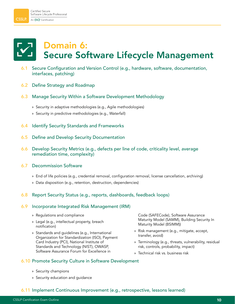## Domain 6: Secure Software Lifecycle Management

- 6.1 Secure Configuration and Version Control (e.g., hardware, software, documentation, interfaces, patching)
- 6.2 Define Strategy and Roadmap
- 6.3 Manage Security Within a Software Development Methodology
	- » Security in adaptive methodologies (e.g., Agile methodologies)
	- » Security in predictive methodologies (e.g., Waterfall)
- 6.4 Identify Security Standards and Frameworks
- 6.5 Define and Develop Security Documentation
- 6.6 Develop Security Metrics (e.g., defects per line of code, criticality level, average remediation time, complexity)

#### 6.7 Decommission Software

- » End of life policies (e.g., credential removal, configuration removal, license cancellation, archiving)
- » Data disposition (e.g., retention, destruction, dependencies)

#### 6.8 Report Security Status (e.g., reports, dashboards, feedback loops)

6.11 Implement Continuous Improvement (e.g., retrospective, lessons learned)

#### 6.9 Incorporate Integrated Risk Management (IRM)

- » Regulations and compliance
- » Legal (e.g., intellectual property, breach notification)
- » Standards and guidelines (e.g., International Organization for Standardization (ISO), Payment Card Industry (PCI), National Institute of Standards and Technology (NIST), OWASP, Software Assurance Forum for Excellence in

### 6.10 Promote Security Culture in Software Development

- » Security champions
- » Security education and guidance

Code (SAFECode), Software Assurance Maturity Model (SAMM), Building Security In Maturity Model (BSIMM))

- » Risk management (e.g., mitigate, accept, transfer, avoid)
- » Terminology (e.g., threats, vulnerability, residual risk, controls, probability, impact)
- » Technical risk vs. business risk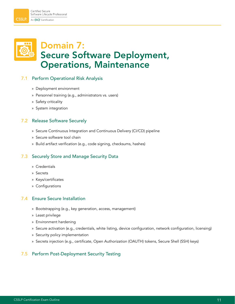

### Domain 7: Secure Software Deployment, Operations, Maintenance

#### 7.1 Perform Operational Risk Analysis

- » Deployment environment
- » Personnel training (e.g., administrators vs. users)
- » Safety criticality
- » System integration

#### 7.2 Release Software Securely

- » Secure Continuous Integration and Continuous Delivery (CI/CD) pipeline
- » Secure software tool chain
- » Build artifact verification (e.g., code signing, checksums, hashes)

#### 7.3 Securely Store and Manage Security Data

- » Credentials
- » Secrets
- » Keys/certificates
- » Configurations

#### 7.4 Ensure Secure Installation

- » Bootstrapping (e.g., key generation, access, management)
- » Least privilege
- » Environment hardening
- » Secure activation (e.g., credentials, white listing, device configuration, network configuration, licensing)
- » Security policy implementation
- » Secrets injection (e.g., certificate, Open Authorization (OAUTH) tokens, Secure Shell (SSH) keys)

#### 7.5 Perform Post-Deployment Security Testing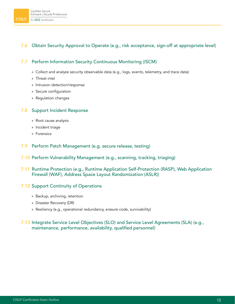#### 7.6 Obtain Security Approval to Operate (e.g., risk acceptance, sign-off at appropriate level)

#### 7.7 Perform Information Security Continuous Monitoring (ISCM)

- » Collect and analyze security observable data (e.g., logs, events, telemetry, and trace data)
- » Threat intel
- » Intrusion detection/response
- » Secure configuration
- » Regulation changes

#### 7.8 Support Incident Response

- » Root cause analysis
- » Incident triage
- » Forensics
- 7.9 Perform Patch Management (e.g. secure release, testing)
- 7.10 Perform Vulnerability Management (e.g., scanning, tracking, triaging)
- 7.11 Runtime Protection (e.g., Runtime Application Self-Protection (RASP), Web Application Firewall (WAF), Address Space Layout Randomization (ASLR))

#### 7.12 Support Continuity of Operations

- » Backup, archiving, retention
- » Disaster Recovery (DR)
- » Resiliency (e.g., operational redundancy, erasure code, survivability)

#### 7.13 Integrate Service Level Objectives (SLO) and Service Level Agreements (SLA) (e.g., maintenance, performance, availability, qualified personnel)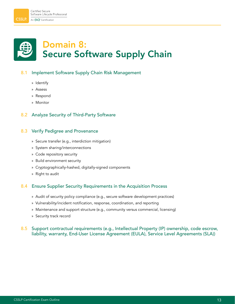## Domain 8: Secure Software Supply Chain

#### 8.1 Implement Software Supply Chain Risk Management

- » Identify
- » Assess
- » Respond
- » Monitor

#### 8.2 Analyze Security of Third-Party Software

#### 8.3 Verify Pedigree and Provenance

- » Secure transfer (e.g., interdiction mitigation)
- » System sharing/interconnections
- » Code repository security
- » Build environment security
- » Cryptographically-hashed, digitally-signed components
- » Right to audit

#### 8.4 Ensure Supplier Security Requirements in the Acquisition Process

- » Audit of security policy compliance (e.g., secure software development practices)
- » Vulnerability/incident notification, response, coordination, and reporting
- » Maintenance and support structure (e.g., community versus commercial, licensing)
- » Security track record

#### 8.5 Support contractual requirements (e.g., Intellectual Property (IP) ownership, code escrow, liability, warranty, End-User License Agreement (EULA), Service Level Agreements (SLA))